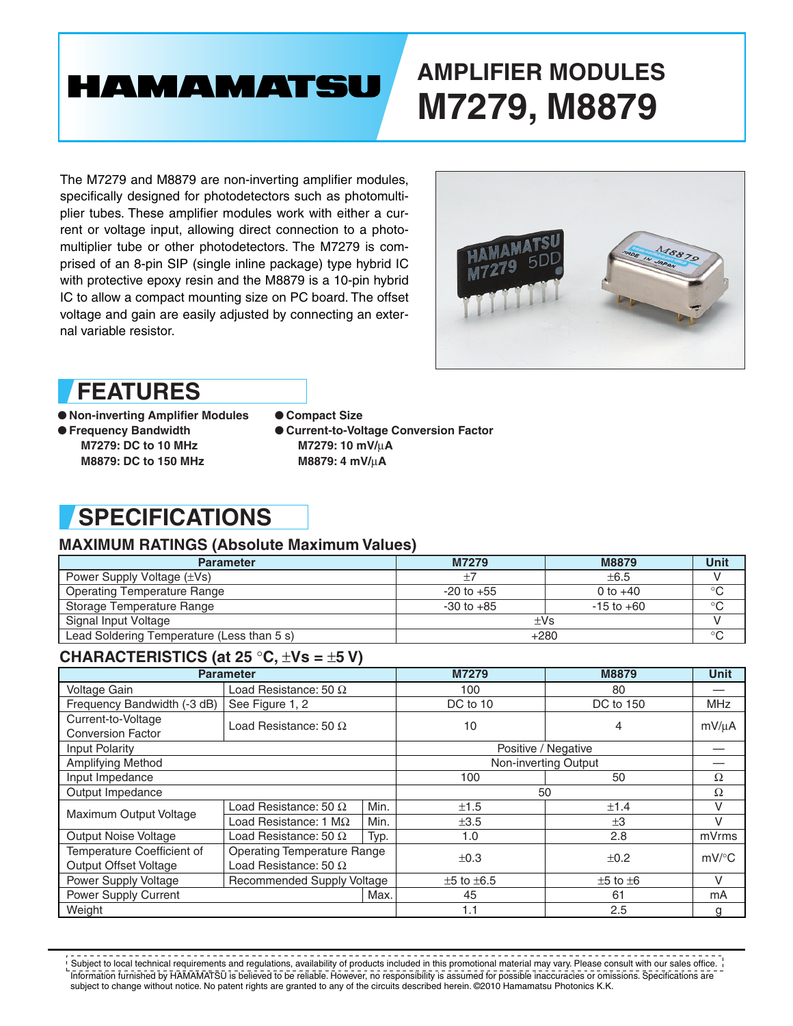# **HAMAMATSU**

# **AMPLIFIER MODULES M7279, M8879**

The M7279 and M8879 are non-inverting amplifier modules, specifically designed for photodetectors such as photomultiplier tubes. These amplifier modules work with either a current or voltage input, allowing direct connection to a photomultiplier tube or other photodetectors. The M7279 is comprised of an 8-pin SIP (single inline package) type hybrid IC with protective epoxy resin and the M8879 is a 10-pin hybrid IC to allow a compact mounting size on PC board. The offset voltage and gain are easily adjusted by connecting an external variable resistor.



## **FEATURES**

● **Non-inverting Amplifier Modules** ● **Frequency Bandwidth M7279: DC to 10 MHz M8879: DC to 150 MHz**

● **Compact Size** ● **Current-to-Voltage Conversion Factor M7279: 10 mV/**µ**A M8879: 4 mV/**µ**A**

## **SPECIFICATIONS**

### **MAXIMUM RATINGS (Absolute Maximum Values)**

| <b>Parameter</b>                           | M7279          | M8879          | Unit         |  |  |
|--------------------------------------------|----------------|----------------|--------------|--|--|
| Power Supply Voltage (±Vs)                 | $\pm 7$        | $\pm 6.5$      |              |  |  |
| <b>Operating Temperature Range</b>         | $-20$ to $+55$ | 0 to $+40$     | $^{\circ}$ C |  |  |
| Storage Temperature Range                  | $-30$ to $+85$ | $-15$ to $+60$ | $^{\circ}C$  |  |  |
| Signal Input Voltage                       | $\pm$ Vs       |                |              |  |  |
| Lead Soldering Temperature (Less than 5 s) | $+280$         |                | $\circ$      |  |  |

### **CHARACTERISTlCS (at 25** °**C,** ±**Vs =** ±**5 V)**

| <b>Parameter</b>            |                                    | M7279                | M8879                | <b>Unit</b>        |                     |
|-----------------------------|------------------------------------|----------------------|----------------------|--------------------|---------------------|
| Voltage Gain                | Load Resistance: 50 $\Omega$       |                      | 100                  | 80                 |                     |
| Frequency Bandwidth (-3 dB) | See Figure 1, 2                    |                      | DC to 10             | DC to 150          | <b>MHz</b>          |
| Current-to-Voltage          | Load Resistance: 50 $\Omega$       |                      | 10                   | 4                  | mV/µA               |
| <b>Conversion Factor</b>    |                                    |                      |                      |                    |                     |
| Input Polarity              |                                    |                      | Positive / Negative  |                    |                     |
| Amplifying Method           |                                    | Non-inverting Output |                      |                    |                     |
| Input Impedance             |                                    | 100                  | 50                   | Ω                  |                     |
| Output Impedance            |                                    |                      | 50                   |                    | Ω                   |
| Maximum Output Voltage      | Load Resistance: 50 $\Omega$       | Min.                 | ±1.5                 | ±1.4               | V                   |
|                             | Load Resistance: 1 $M\Omega$       | Min.                 | $\pm 3.5$            | $\pm 3$            | $\vee$              |
| <b>Output Noise Voltage</b> | Load Resistance: 50 $\Omega$       | Typ.                 | 1.0                  | 2.8                | mVrms               |
| Temperature Coefficient of  | <b>Operating Temperature Range</b> |                      | $\pm 0.3$            | ±0.2               | $mV$ <sup>o</sup> C |
| Output Offset Voltage       | Load Resistance: 50 $\Omega$       |                      |                      |                    |                     |
| Power Supply Voltage        | <b>Recommended Supply Voltage</b>  |                      | $\pm 5$ to $\pm 6.5$ | $\pm 5$ to $\pm 6$ | $\vee$              |
| Power Supply Current        |                                    | Max.                 | 45                   | 61                 | mA                  |
| Weight                      |                                    | 1.1                  | 2.5                  | g                  |                     |

Information furnished by HAMAMATSU is believed to be reliable. However, no responsibility is assumed for possible inaccuracies or omissions. Specifications are subject to change without notice. No patent rights are granted to any of the circuits described herein. ©2010 Hamamatsu Photonics K.K.  $!$  Subject to local technical requirements and regulations, availability of products included in this promotional material may vary. Please consult with our sales office.  $\,$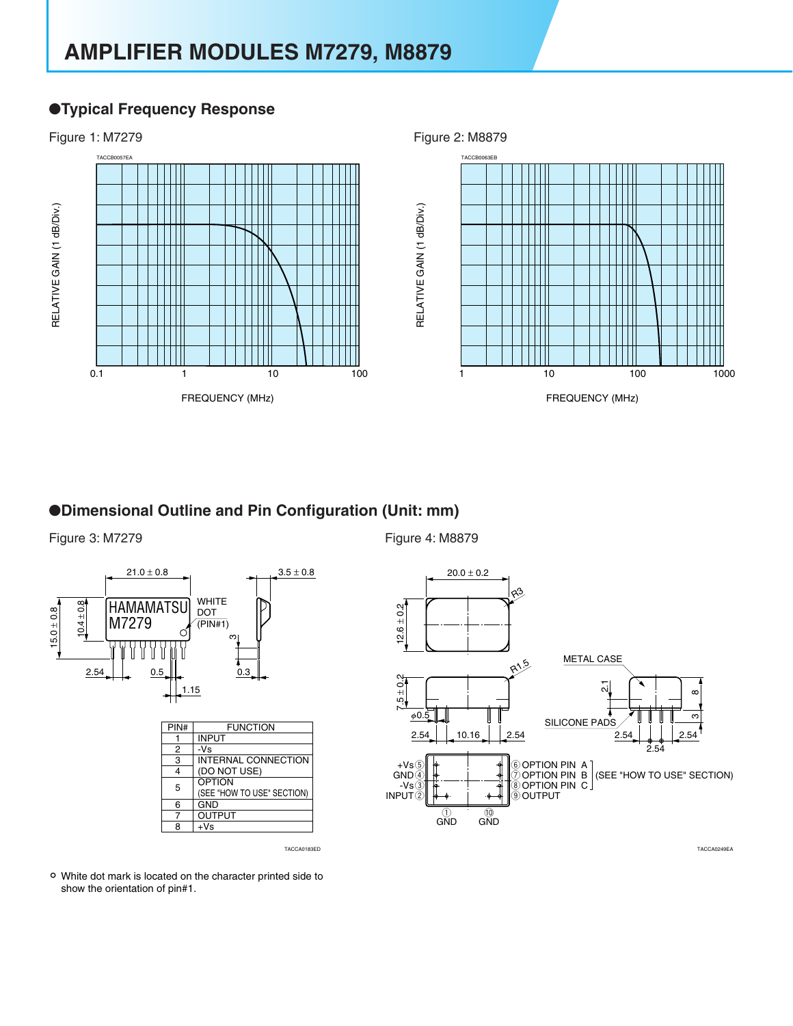## **AMPLIFIER MODULES M7279, M8879**

### ●**Typical Frequency Response**



### ●**Dimensional Outline and Pin Configuration (Unit: mm)**







White dot mark is located on the character printed side to show the orientation of pin#1.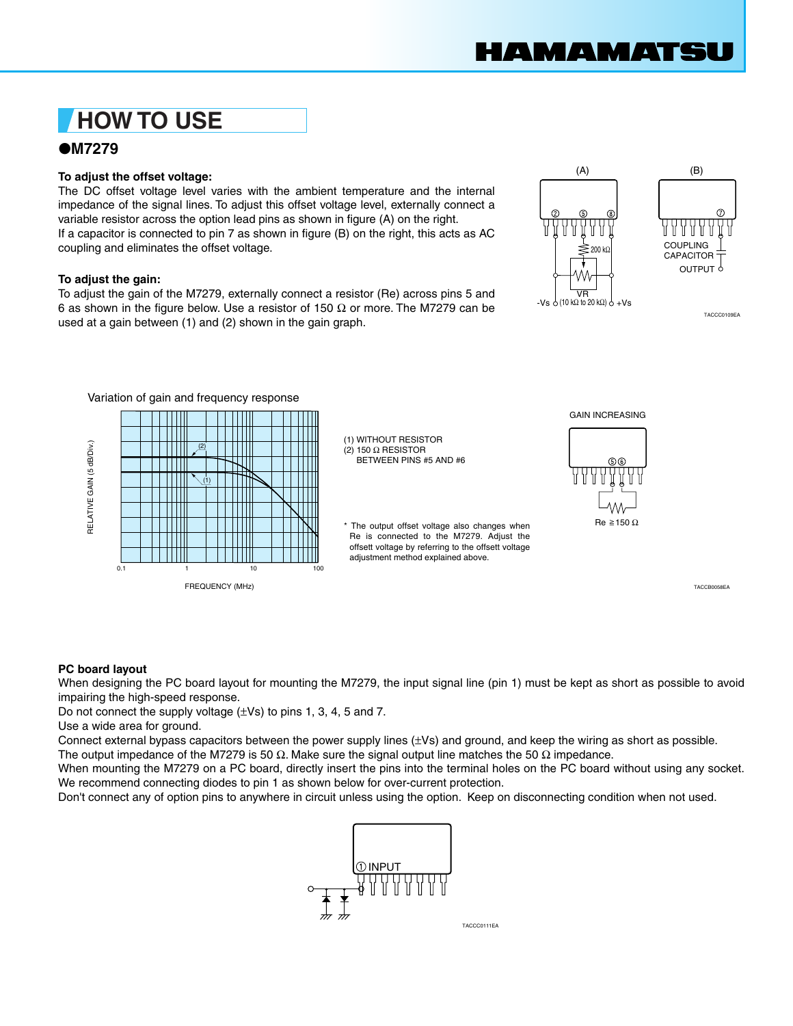## **HOW TO USE**

### ●**M7279**

#### **To adjust the offset voltage:**

The DC offset voltage level varies with the ambient temperature and the internal impedance of the signal lines. To adjust this offset voltage level, externally connect a variable resistor across the option lead pins as shown in figure (A) on the right. If a capacitor is connected to pin 7 as shown in figure (B) on the right, this acts as AC coupling and eliminates the offset voltage.

#### **To adjust the gain:**

To adjust the gain of the M7279, externally connect a resistor (Re) across pins 5 and 6 as shown in the figure below. Use a resistor of 150  $\Omega$  or more. The M7279 can be  $\sigma$  as shown in the hydre below. Ose a resistor of 150 sz of more. The M7275 can be<br>used at a gain between (1) and (2) shown in the gain graph.





Variation of gain and frequency response GAIN INCREASING WITHOUT RESISTOR (1) RELATIVE GAIN (5 dB/Div.) RELATIVE GAIN (5 dB/Div.) (2) 150 Ω RESISTOR (2) BETWEEN PINS #5 AND #6 (1)  $Re \ge 150 \Omega$ \* The output offset voltage also changes when Re is connected to the M7279. Adjust the offsett voltage by referring to the offsett voltage adjustment method explained above. 0.1 1 10 100 FREQUENCY (MHz)

TACCB0058EA

#### **PC board layout**

When designing the PC board layout for mounting the M7279, the input signal line (pin 1) must be kept as short as possible to avoid impairing the high-speed response.

Do not connect the supply voltage  $(\pm Vs)$  to pins 1, 3, 4, 5 and 7.

Use a wide area for ground.

Connect external bypass capacitors between the power supply lines (±Vs) and ground, and keep the wiring as short as possible.

The output impedance of the M7279 is 50  $\Omega$ . Make sure the signal output line matches the 50  $\Omega$  impedance.

When mounting the M7279 on a PC board, directly insert the pins into the terminal holes on the PC board without using any socket. We recommend connecting diodes to pin 1 as shown below for over-current protection.

Don't connect any of option pins to anywhere in circuit unless using the option. Keep on disconnecting condition when not used.